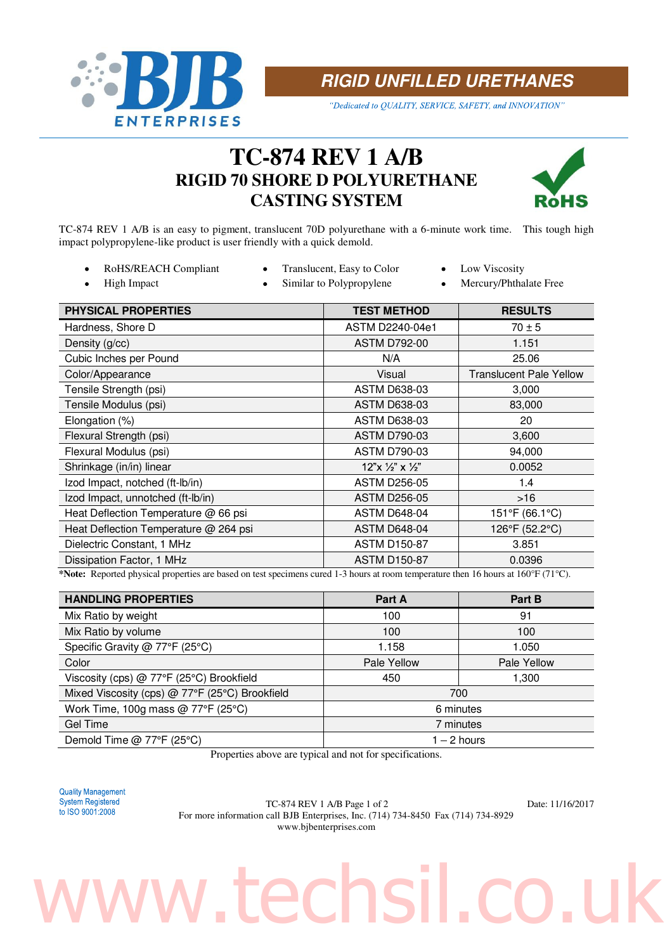

**RIGID UNFILLED URETHANES** 

"Dedicated to QUALITY, SERVICE, SAFETY, and INNOVATION"

## **TC-874 REV 1 A/B RIGID 70 SHORE D POLYURETHANE CASTING SYSTEM**



TC-874 REV 1 A/B is an easy to pigment, translucent 70D polyurethane with a 6-minute work time. This tough high impact polypropylene-like product is user friendly with a quick demold.

- RoHS/REACH Compliant Translucent, Easy to Color Low Viscosity  $\bullet$
- 
- 
- $\bullet$
- High Impact Similar to Polypropylene Mercury/Phthalate Free
- 

| PHYSICAL PROPERTIES                                                                                                                    | <b>TEST METHOD</b>               | <b>RESULTS</b>                 |  |  |
|----------------------------------------------------------------------------------------------------------------------------------------|----------------------------------|--------------------------------|--|--|
| Hardness, Shore D                                                                                                                      | ASTM D2240-04e1                  | $70 \pm 5$                     |  |  |
| Density (g/cc)                                                                                                                         | <b>ASTM D792-00</b>              | 1.151                          |  |  |
| Cubic Inches per Pound                                                                                                                 | N/A                              | 25.06                          |  |  |
| Color/Appearance                                                                                                                       | Visual                           | <b>Translucent Pale Yellow</b> |  |  |
| Tensile Strength (psi)                                                                                                                 | <b>ASTM D638-03</b>              | 3,000                          |  |  |
| Tensile Modulus (psi)                                                                                                                  | <b>ASTM D638-03</b>              | 83,000                         |  |  |
| Elongation (%)                                                                                                                         | <b>ASTM D638-03</b>              | 20                             |  |  |
| Flexural Strength (psi)                                                                                                                | <b>ASTM D790-03</b>              | 3,600                          |  |  |
| Flexural Modulus (psi)                                                                                                                 | <b>ASTM D790-03</b>              | 94,000                         |  |  |
| Shrinkage (in/in) linear                                                                                                               | $12"x \frac{1}{2"x \frac{1}{2"}$ | 0.0052                         |  |  |
| Izod Impact, notched (ft-Ib/in)                                                                                                        | <b>ASTM D256-05</b>              | 1.4                            |  |  |
| Izod Impact, unnotched (ft-Ib/in)                                                                                                      | <b>ASTM D256-05</b>              | $>16$                          |  |  |
| Heat Deflection Temperature @ 66 psi                                                                                                   | <b>ASTM D648-04</b>              | 151°F (66.1°C)                 |  |  |
| Heat Deflection Temperature @ 264 psi                                                                                                  | <b>ASTM D648-04</b>              | 126°F (52.2°C)                 |  |  |
| Dielectric Constant, 1 MHz                                                                                                             | <b>ASTM D150-87</b>              | 3.851                          |  |  |
| Dissipation Factor, 1 MHz                                                                                                              | <b>ASTM D150-87</b>              | 0.0396                         |  |  |
| $\star$ Motor Donouted abvected nuovember and hood on toot another areal 1-2 hours of noone town enclose them 16 hours of 1600F (719C) |                                  |                                |  |  |

**\*Note:** Reported physical properties are based on test specimens cured 1-3 hours at room temperature then 16 hours at 160°F (71°C).

| <b>HANDLING PROPERTIES</b>                     | Part A      | Part B      |
|------------------------------------------------|-------------|-------------|
| Mix Ratio by weight                            | 100         | 91          |
| Mix Ratio by volume                            | 100         | 100         |
| Specific Gravity @ 77°F (25°C)                 | 1.158       | 1.050       |
| Color                                          | Pale Yellow | Pale Yellow |
| Viscosity (cps) @ 77°F (25°C) Brookfield       | 450         | 1,300       |
| Mixed Viscosity (cps) @ 77°F (25°C) Brookfield | 700         |             |
| Work Time, 100g mass @ 77°F (25°C)             | 6 minutes   |             |
| Gel Time                                       | 7 minutes   |             |
| Demold Time @ 77°F (25°C)                      | 1 – 2 hours |             |

Properties above are typical and not for specifications.

**Quality Management** 

System Registered<br>to ISO 9001:2008 <br>For more information of U BJB Entermains Inc. (714) 724, 8450 For (714) 724, 8020 For more information call BJB Enterprises, Inc. (714) 734-8450 Fax (714) 734-8929 www.bjbenterprises.com

# techsil.co.u